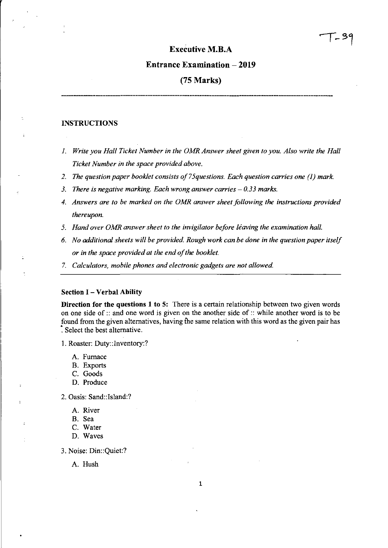## **Executive M.B.A**

### **Entrance Examination - 2019**

## **(75 Marks)**

## **INSTRUCTIONS**

- *1. Write you Hall Ticket Number in the OMR Answer sheet given to you. Also write the Hall Ticket Number in the space provided above.*
- *2. The question paper booklet consists of 75questions. Each question carries one* (1) *mark.*
- 3. There is negative marking. Each wrong answer carries  $-0.33$  marks.
- *4. Answers are to be marked on the OMR answer sheet following the instructions provided thereupon.*
- 5. Hand over OMR answer sheet to the invigilator before leaving the examination hall.
- *6. No additional sheets will be provided. Rough work can be done in the question paper itself or in the space provided at the end of the booklet.*
- *7. Calculators, mobile phones and electronic gadgets are not allowed.*

#### **Section I - Verbal Ability**

**Direction for the questions 1 to 5:** There is a certain relationship between two given words on one side of:: and one word is given on the another side of :: while another word is to be found from the given alternatives, having the same relation with this word as the given pair has : Select the best alternative.

1. Roaster: Duty: :Inventory:?

- A. Furnace
- B. Exports
- C. Goods
- D. Produce
- 2. Oasis: Sand::lsland:?
	- A. River
	- B. Sea
	- C. Water
	- D. Waves

3. Noise: Din::Quiet:?

A. **Hush**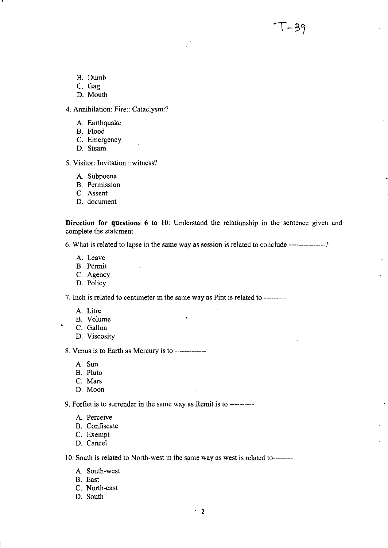- B. Dumb
- C. Gag

,

D. Mouth

4. Annihilation: Fire:: Cataclysm:?

- A. Earthquake
- B. Flood
- C. Emergency
- D. Steam
- 5. Visitor: Invitation ::witness?
	- A. Subpoena
	- B. Permission
	- C. Assent
	- D. document

**Direction for questions 6 to 10:** Understand the relationship in the sentence given and complete the statement

<u>। – 39</u>

6. What is related to lapse in the same way as session is related to conclude ---------------?

- A. Leave
- B. Permit
- C. Agency
- D. Policy

7. Inch is related to centimeter in the same way as Pint is related to ---------

- A. Litre
- B. Volume
- C. Gallon
- D. Viscosity

8. Venus is to Earth as Mercury is to -------------

- A. Sun
- B. Pluto
- C. Mars
- D. Moon

9. Forfiet is to surrender in the same way as Remit is to ----------

- A. Perceive
- B. Confiscate
- C. Exempt
- D. Cancel

10. South is related to North-west in the same way as west is related to--------

- A. South-west
- B. East
- C. North-east
- D. South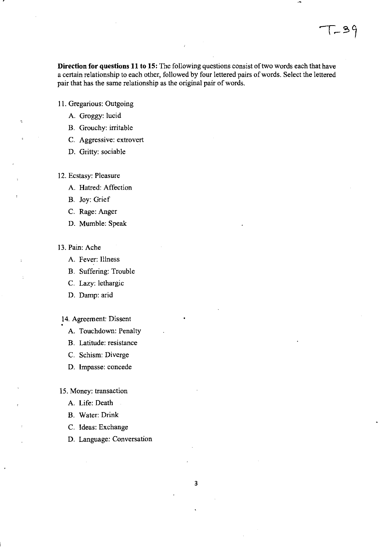**Direction for questions 11 to 15:** The following questions consist of two words each that have a certain relationship to each other, followed by four lettered pairs of words. Select the lettered pair that has the same relationship as the original pair of words.

- 11. Gregarious: Outgoing
	- A. Groggy: lucid
	- B. Grouchy: irritable
	- C. Aggressive: extrovert
	- D. Gritty: sociable
- 12. Ecstasy: Pleasure
	- A. Hatred: Affection
	- B. Joy: Grief
	- C. Rage: Anger
	- D. Mumble: Speak
- 13. Pain: Ache
	- A. Fever: Illness
	- B. Suffering: Trouble
	- C. Lazy: lethargic
	- D. Damp: arid

14. Agreement: Dissent

- A. Touchdown: Penalty
- B. Latitude: resistance
- C. Schism: Diverge
- D. Impasse: concede

15. Money: transaction

- A. Life: Death
- B. Water: Drink
- C. Ideas: Exchange
- D. Language: Conversation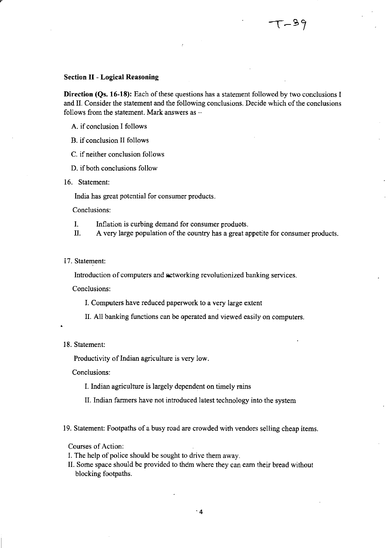#### **Section II - Logical Reasoning**

**Direction (Qs. 16-18):** Each of these questions has a statement followed by two conclusions I and **II.** Consider the statement and the following conclusions. Decide which of the conclusions follows from the statement. Mark answers as  $-$ 

- A. if conclusion I follows
- B. if conclusion II follows
- C. if neither conclusion follows
- D. if both conclusions follow
- 16. Statement:

India has great potential for consumer products.

Conclusions:

- I. Inflation is curbing demand for consumer produots.
- II. A very large population of the country has a great appetite for consumer products.
- 17. Statement:

Introduction of computers and networking revolutionized banking services.

Conclusions:

- I. Computers have reduced paperwork to a very large extent
- II. All banking functions can be operated and viewed easily on computers.

### 18. Statement:

Productivity of Indian agriculture is very low.

Conclusions:

I. Indian agriculture is largely dependent on timely rains

- **II.** Indian farmers have not introduced latest technology into the system
- 19. Statement: Footpaths of a busy road are crowded with vendors selling cheap items.

### Courses of Action:

- I. The help of police should be sought to drive them away.
- II. Some space should be provided to them where they can earn their bread without blocking footpaths.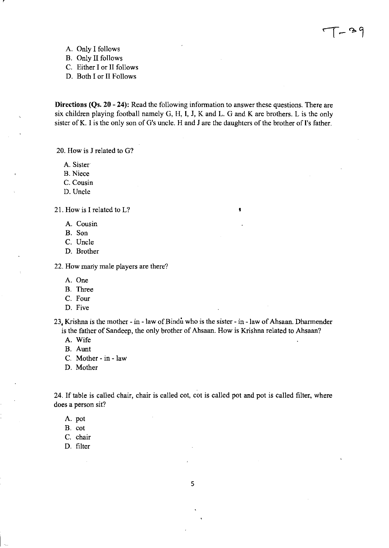A. Only I follows

B. Only II follows

- C. Either I or II follows
- D. Both I or II Follows

Directions (Qs. 20 - 24): Read the following information to answer these questions. There are six children playing football namely G, H, I, J, K and L. G and K are brothers. L is the only sister of K. I is the only son of G's uncle. H and J are the daughters of the brother of I's father.

I

20. How is J related to G?

A. Sister

B. Niece

C. Cousin

D.Uncle

21. How is I related to L?

- A. Cousin
- B. Son
- C. Uncle
- D. Brother

22. How many male players are there?

- A. One
- B. Three
- C. Four
- D. Five

 $23<sub>4</sub>$  Krishna is the mother - in - law of Bindu who is the sister - in - law of Ahsaan. Dharmender is the father of Sandeep, the only brother of Ahsaan. How is Krishna related to Ahsaan?

- A. Wife
- B. Aunt
- C. Mother in law
- D. Mother

24. If table is called chair, chair is called cot, cot is called pot and pot is called filter, where does a person sit?

- A. pot
- B. cot

C. chair

D. filter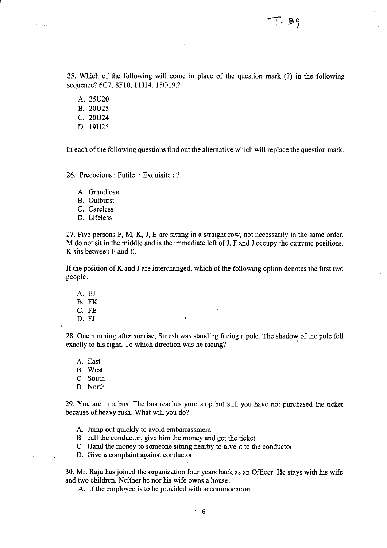25. Which of the following will come in place of the question mark (?) in the following sequence? 6C7, 8F10, 11J14, 15O19,?

A. 25U20

r

B. 20U25

- C. 20U24
- D. 19U25

In each of the following questions find out the alternative which will replace the question mark.

26. Precocious: Futile :: Exquisite: ?

A. Grandiose

B. Outburst

C. Careless

D. Lifeless

27. Five persons F, M, K, **J,** E are sitting in a straight row, not necessarily in the same order. M do not sit in the middle and is the immediate left of J. F and J occupy the extreme positions. K sits between F and E.

If the position of K and J are interchanged, which of the following option denotes the first two people?

- A. EJ B. FK C. FE
- D. FJ

28. One morning after sunrise, Suresh was standing facing a pole. The shadow of the pole fell exactly to his right. To which direction was he facing?

A. East

- B. West
- C. South

D. North

29. You are in a bus. The bus reaches your stop but still you have not purchased the ticket because of heavy rush. What will you do?

A. Jump out quickly to avoid embarrassment

B. call the conductor, give him the money and get the ticket

C. Hand the money to someone sitting nearby to give it to the conductor

D. Give a complaint against conductor

30. Mr. Raju has joined the organization four years back as an Officer. He stays with his wife and two children. Neither he nor his wife owns a house.

A. if the employee is to be provided with accommodation

. 6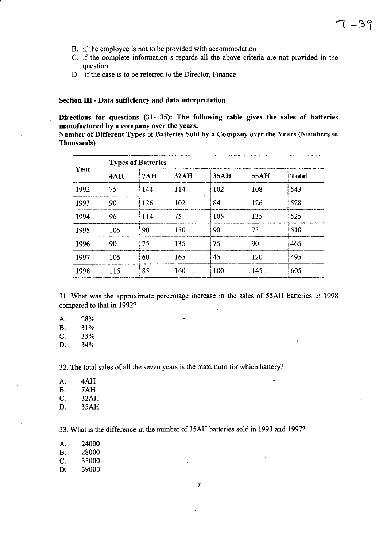- B. if the employee is not to be provided with accommodation
- C. if the complete infonnation s regards all the above criteria are not provided in the question
- D. if the case is to be referred to the Director, Finance

### Section **III** - Data sufficiency and data interpretation

Directions for questions (31- 35): The following table gives the sales of batteries manufactured by a company over the years.

Number of Different Types of Batteries Sold by a Company over the Years (Numbers in Thousands)

| Year | <b>Types of Batteries</b> |     |      |      |      |              |  |
|------|---------------------------|-----|------|------|------|--------------|--|
|      | 4AH                       | 7AH | 32AH | 35AH | 55AH | <b>Total</b> |  |
| 1992 | 75                        | 144 | 114  | 102  | 108  | 543          |  |
| 1993 | 90                        | 126 | 102  | 84   | 126  | 528          |  |
| 1994 | 96                        | 114 | 75   | 105  | 135  | 525          |  |
| 1995 | 105                       | 90  | 150  | 90   | 75   | 510          |  |
| 1996 | 90                        | 75  | 135  | 75   | 90   | 465          |  |
| 1997 | 105                       | 60  | 165  | 45   | 120  | 495          |  |
| 1998 | 115                       | 85  | 160  | 100  | 145  | 605          |  |

31. What was the approximate percentage increase in the sales of 55AH batteries in 1998 compared to that in 1992?

٠

 $\ddot{\phantom{1}}$ 

A. 28%

 $\bar{z}$ 

 $B. 31%$ 

C. 33%

D. 34%

32. The total sales of all the seven years is the maximum for which battery?

A. 4AH B. 7AH C. 32AH D. 35AH

33. What is the difference in the number of 35AH batteries sold in 1993 and 1997?

- A. 24000 B. 28000
- 
- C. 35000<br>D. 39000 39000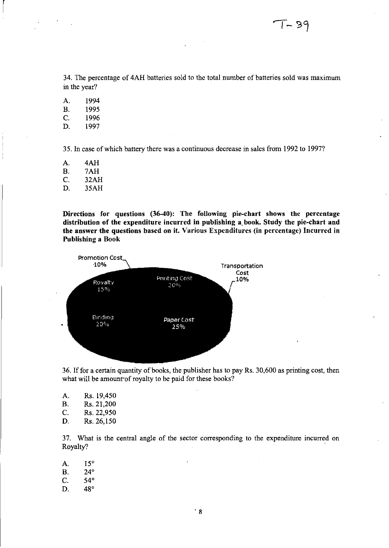34. The percentage of 4AH batteries sold to the total number of batteries sold was maximum in the year?

A. 1994 B. 1995 C. 1996 D. 1997

 $\vert$ 

35. In case of which battery there was a continuous decrease in sales from 1992 to 1997?

A. 4AH B. 7AH C. 32AH D. 35AH

Directions for questions (36-40): The following pie-chart shows the percentage distrihution of the expenditure incurred in publishing a. book. Study the pie-chart and the answer the questions based on it. Various Expenditures (in percentage) Incurred in Publishing a Book



36. Iffor a certain quantity of books, the publisher has to pay Rs. 30,600 as printing cost, then what will be amount'of royalty to be paid for these books?

| А.        | Rs. 19,450       |
|-----------|------------------|
| <b>B.</b> | Rs. 21,200       |
| C.        | Rs. 22,950       |
| n.        | <b>D. 94 ISO</b> |

D. Rs.26,150

37. What is the central angle of the sector corresponding to the expenditure incurred on Royalty?

A. 15° B. 24°

- C. 54°
- D. 48°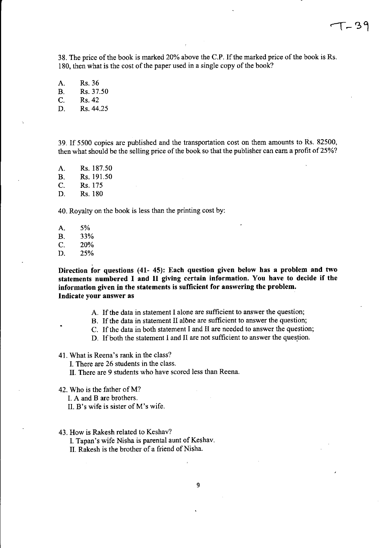38. The price of the book is marked 20% above the c.P. If the marked price of the book is Rs. 180, then what is the cost of the paper used in a single copy of the book?

A. Rs.36 B. Rs.37.50 C. Rs.42 D. Rs.44.25

39. If 5500 copies are published and the transportation cost on them amounts to Rs. 82500, then what should be the selling price of the book so that the publisher can earn a profit of 25%?

A. Rs. 187.50 B. Rs. 191.50 C. Rs.175 D. Rs.180

40. Royalty on the book is less than the printing cost by:

A. 5% B. 33% C. 20% D. 25%

Direction for questions (41- 45): Each question given below has a problem and two statements numbered I and II giving certain information. You have to decide if the information given in the statements is sufficient for answering the problem. Indicate your answer as

- A. If the data in statement I alone are sufficient to answer the question;
- B. If the data in statement II albne are sufficient to answer the question;
- C. If the data in both statement I and II are needed to answer the question;
- D. If both the statement I and II are not sufficient to answer the question.

41. What is Reena's rank in the class?

I. There are 26 students in the class.

II. There are 9 students who have scored less than Reena.

42. Who is the father of M?

I. A and B are brothers.

- II. B's wife is sister of M's wife.
- 43. How is Rakesh related to Keshav?

I. Tapan's wife Nisha is parental aunt of Keshav.

II. Rakesh is the brother of a friend of Nisha.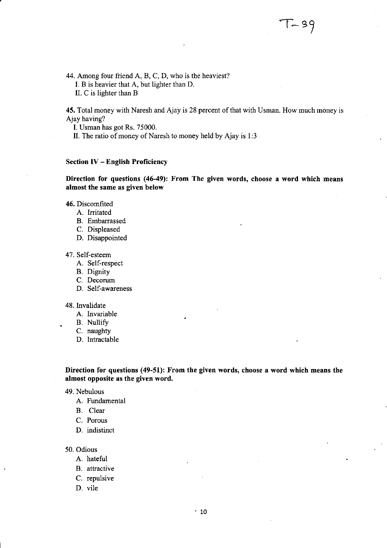44. Among four friend A, B, C, D, who is the heaviest?

I. B is heavier that A, but lighter than D.

II. C is lighter than B

45. Total money with Naresh and Ajay is 28 percent of that with Usman. How much money is Ajay having?

I. Usman has got Rs. 75000.

II. The ratio of money of Naresh to money held by Ajay is 1:3

## Section IV - English Proficiency

## Direction for questions (46-49): From The given words, choose a word which means almost the same as given below

46. Discomfited

- A. Irritated
- B. Embarrassed
- C. Displeased
- D. Disappointed

47. Self-esteem

- A. Self-respect
- B. Dignity
- C. Decorum
- D. Self-awareness

## 48. Invalidate

- A. Invariable
- B. Nullify
- C. naughty
- D. Intractable

Direction for questions (49-51): From the given words, choose a word which means the almost opposite as the given word.

#### 49. Nebulous

- A. Fundamental
- B. Clear
- C. Porous
- D. indistinct

#### 50. Odious

- A. hateful
- B. attractive
- C. repulsive
- D. vile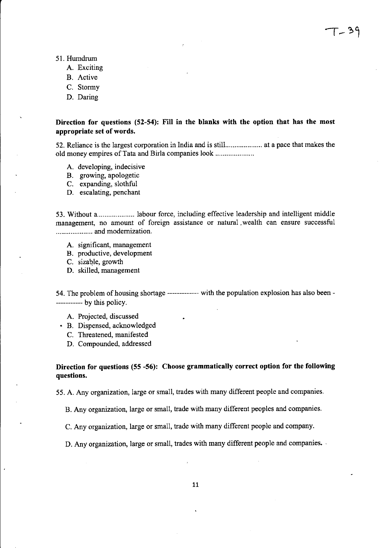- 51. Humdrum
	- A. Exciting
	- B. Active
	- C. Stormy
	- D. Daring

## Direction for questions (52-54): Fill in the blanks with the option that has the most appropriate set of words.

52. Reliance is the largest corporation in India and is stilL ................. at a pace that makes the old money empires of Tata and Birla companies look .................... .

- A. developing, indecisive
- B. growing, apologetic
- C. expanding, slothful
- D. escalating, penchant

53. Without a........................ labour force, including effective leadership and intelligent middle management, no amount of foreign assistance or natural. wealth can ensure successful .................... and modernization.

- A. significant, management
- B. productive, development
- C. sizable, growth
- D. skilled, management

54. The problem of housing shortage ------------- with the population explosion has also been- ----------- by this policy.

- A. Projected, discussed
- B. Dispensed, acknowledged
	- C. Threatened, manifested
	- D. Compounded, addressed

## Direction for questions (55 -56): Choose grammatically correct option for the following questions.

55. A. Any organization, large or small, trades with many different people and companies.

B. Any organization, large or small, trade with many different peoples and companies.

C. Any organization, large or small, trade with many different people and company.

D. Any organization, large or small, trades with many different people and companies.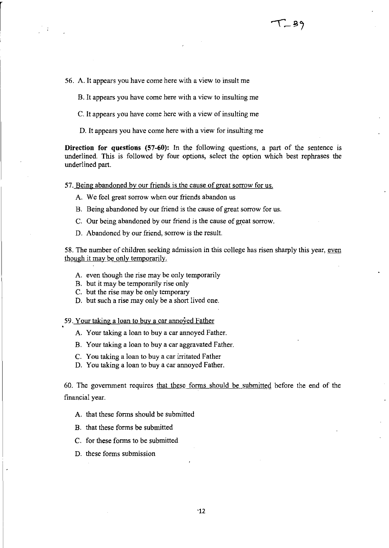56. A. It appears you have come here with a view to insult me

B. It appears you have come here with a view to insulting me

c. It appears you have come here with a view of insulting me

D. It appears you have come here with a view for insulting me

**Direction for questions** (57-60): In the following questions, a part of the sentence is underlined. This is followed by four options, select the option which best rephrases the underlined part.

57. Being abandoned by our friends is the cause of great sorrow for us.

- A. We feel great sorrow when our friends abandon us
- B. Being abandoned by our friend is the cause of great sorrow for us.
- C. Our being abandoned by our friend is the cause of great sorrow.
- D. Abandoned by our friend, sorrow is the result.

58. The number of children seeking admission in this college has risen sharply this year, even though it may be only temporarily.

- A. even though the rise may be only temporarily
- B. but it may be temporarily rise only
- C. but the rise may be only temporary
- D. but such a rise may only be a short lived one.

59. Your taking a loan to buy a car annoyed Father

- A. Your taking a loan to buy a car annoyed Father.
- B. Your taking a loan to buy a car aggravated Father.
- C. You taking a loan to buy a car irritated Father
- D. You taking a loan to buy a car annoyed Father.

60. The goverrunent requires that these forms should be submitted before the end of the financial year.

A. that these forms should be submitted

- B. that these forms be submitted
- C. for these forms to be submitted
- D. these forms submission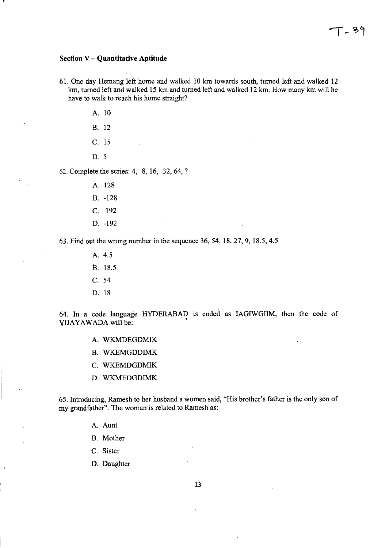### **Section V - Quantitative Aptitude**

r

61. One day Hemang left home and walked 10 km towards south, turned left and walked 12 km, turned left and walked 15 km and turned left and walked 12 km. How many km will he have to walk to reach his home straight?

> A. 10 B. 12 C. 15 D. 5

62. Complete the series: 4, -8, 16, -32, 64, ?

A. 128 B. -128 C. 192 D. -192

63. Find out the wrong number in the sequence 36, 54, 18,27,9, 18.5,4.5

A. 4.5 B. 18.5 C. 54 D. 18

64. In a code language HYDERABAD is coded as IAGIWGIIM, then the code of YIJAYAWADA will be:

- A. WKMDEGDMIK
- B. WKEMGDDIMK
- C. WKEMDGDMIK
- D. WKMEDGDIMK

65. Introducing, Ramesh to her husband a women said, "His brother's father is the only son of my grandfather". The woman is related to Ramesh as:

A. Aunt

B. Mother

C. Sister

D. Daughter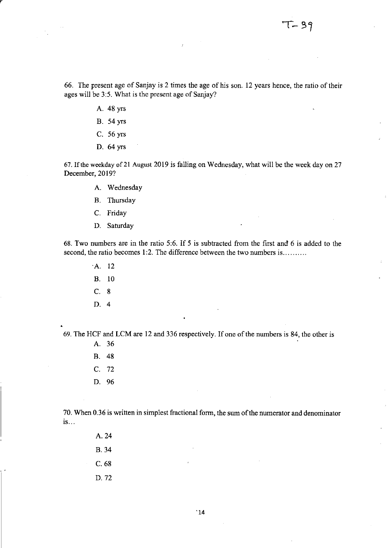66. The present age of Sanjay is 2 times the age of his son. 12 years hence, the ratio of their ages will be 3:5. What is the present age of Sanjay?

- A. 48 yrs
- B. 54 yrs
- C. 56 yrs
- D. 64 yrs

67. If the weekday of 21 August 2019 is falling on Wednesday, what will be the week day on 27 December, 2019?

- A. Wednesday
- B. Thursday
- C. Friday
- D. Saturday

68. Two numbers are in the ratio 5:6. If 5 is subtracted from the first and 6 is added to the second, the ratio becomes 1:2. The difference between the two numbers is .........

- A 12
- B. 10
- C. 8
- D. 4

69. The HCF and LCM are 12 and 336 respectively. If one of the numbers is 84, the other is

- A. 36 B. 48
- C. 72
- D. 96

70. When 0.36 is written in simplest fractional form, the sum of the numerator and denominator is ...

> A. 24 B.34 C.68 D.72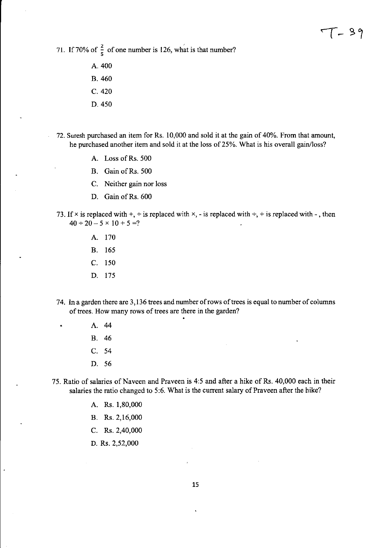71. If 70% of  $\frac{2}{5}$  of one number is 126, what is that number?

- A. 400 B. 460 C. 420
- D.450
- 72. Suresh purchased an item for Rs. 10,000 and sold it at the gain of 40%. From that amount, he purchased another item and sold it at the loss of 25%. What is his overall gain/loss?
	- A. Loss of Rs. 500
	- B. Gain of Rs. 500
	- C. Neither gain nor loss
	- D. Gain of Rs. 600
- 73. If  $\times$  is replaced with  $+$ ,  $\div$  is replaced with  $\times$ ,  $-$  is replaced with  $\div$ ,  $+$  is replaced with  $-$ , then  $40 \div 20 - 5 \times 10 + 5 =?$ 
	- A. 170
	- B. 165
	- C. 150
	- D. 175
- 74. In a garden there are 3,136 trees and number of rows of trees is equal to number of columns of trees. How many rows of trees are there in the garden?
	- A. 44
	- B. 46
	- C. 54
	- D. 56
- 75. Ratio of salaries of Naveen and Praveen is 4:5 and after a hike of Rs. 40,000 each in their salaries the ratio changed to 5:6. What is the current salary of Praveen after the hike?
	- A. Rs. 1,80,000
	- B. Rs.2,16,000
	- C. Rs. 2,40,000
	- D. Rs. 2,52,000